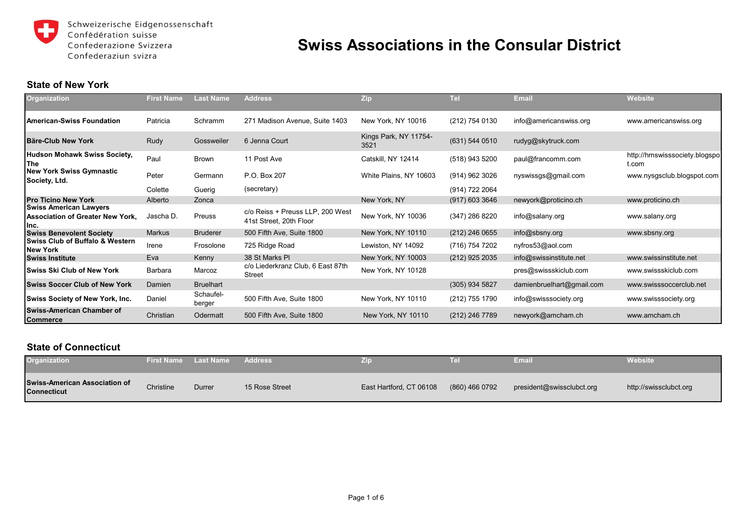

Schweizerische Eidgenossenschaft Confédération suisse Confederazione Svizzera Confederaziun svizra

# **Swiss Associations in the Consular District**

## **State of New York**

| <b>Organization</b>                                                               | <b>First Name</b> | Last Name           | <b>Address</b>                                              | <b>Zip</b>                    | <b>Tel</b>       | <b>Email</b>              | <b>Website</b>                         |
|-----------------------------------------------------------------------------------|-------------------|---------------------|-------------------------------------------------------------|-------------------------------|------------------|---------------------------|----------------------------------------|
| l American-Swiss Foundation                                                       | Patricia          | Schramm             | 271 Madison Avenue, Suite 1403                              | New York, NY 10016            | (212) 754 0130   | info@americanswiss.org    | www.americanswiss.org                  |
| <b>IBäre-Club New York</b>                                                        | Rudy              | Gossweiler          | 6 Jenna Court                                               | Kings Park, NY 11754-<br>3521 | $(631)$ 544 0510 | rudyg@skytruck.com        |                                        |
| Hudson Mohawk Swiss Society,<br><b>The</b>                                        | Paul              | <b>Brown</b>        | 11 Post Ave                                                 | Catskill, NY 12414            | (518) 943 5200   | paul@francomm.com         | http://hmswisssociety.blogspo<br>t.com |
| <b>New York Swiss Gymnastic</b><br>Society, Ltd.                                  | Peter             | Germann             | P.O. Box 207                                                | White Plains, NY 10603        | (914) 962 3026   | nyswissgs@gmail.com       | www.nysgsclub.blogspot.com             |
|                                                                                   | Colette           | Guerig              | (secretary)                                                 |                               | (914) 722 2064   |                           |                                        |
| <b>Pro Ticino New York</b>                                                        | Alberto           | Zonca               |                                                             | New York, NY                  | $(917)$ 603 3646 | newyork@proticino.ch      | www.proticino.ch                       |
| <b>Swiss American Lawyers</b><br><b>Association of Greater New York.</b><br>Ilnc. | Jascha D.         | Preuss              | c/o Reiss + Preuss LLP, 200 West<br>41st Street, 20th Floor | New York, NY 10036            | (347) 286 8220   | info@salany.org           | www.salany.org                         |
| <b>Swiss Benevolent Society</b>                                                   | <b>Markus</b>     | <b>Bruderer</b>     | 500 Fifth Ave, Suite 1800                                   | New York, NY 10110            | (212) 246 0655   | info@sbsny.org            | www.sbsny.org                          |
| <b>Swiss Club of Buffalo &amp; Western</b><br><b>New York</b>                     | Irene             | Frosolone           | 725 Ridge Road                                              | Lewiston, NY 14092            | (716) 754 7202   | nyfros53@aol.com          |                                        |
| <b>Swiss Institute</b>                                                            | Eva               | Kenny               | 38 St Marks PI                                              | New York, NY 10003            | (212) 925 2035   | info@swissinstitute.net   | www.swissinstitute.net                 |
| <b>Swiss Ski Club of New York</b>                                                 | Barbara           | Marcoz              | c/o Liederkranz Club, 6 East 87th<br><b>Street</b>          | New York, NY 10128            |                  | pres@swissskiclub.com     | www.swissskiclub.com                   |
| <b>Swiss Soccer Club of New York</b>                                              | Damien            | <b>Bruelhart</b>    |                                                             |                               | (305) 934 5827   | damienbruelhart@gmail.com | www.swisssoccerclub.net                |
| <b>Swiss Society of New York, Inc.</b>                                            | Daniel            | Schaufel-<br>berger | 500 Fifth Ave, Suite 1800                                   | New York, NY 10110            | (212) 755 1790   | info@swisssociety.org     | www.swisssociety.org                   |
| <b>Swiss-American Chamber of</b><br><b>Commerce</b>                               | Christian         | Odermatt            | 500 Fifth Ave, Suite 1800                                   | New York, NY 10110            | (212) 246 7789   | newyork@amcham.ch         | www.amcham.ch                          |

#### **State of Connecticut**

| <b>Organization</b>                                        |           |        |                | ZΠ                      | Ŀ.             | Email                     | Website                |
|------------------------------------------------------------|-----------|--------|----------------|-------------------------|----------------|---------------------------|------------------------|
| <b>Swiss-American Association of</b><br><b>Connecticut</b> | Christine | Durrer | 15 Rose Street | East Hartford, CT 06108 | (860) 466 0792 | president@swissclubct.org | http://swissclubct.org |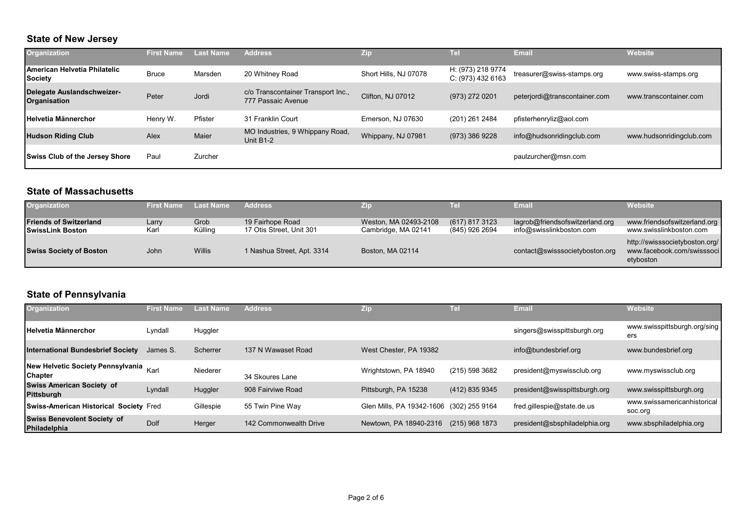## **State of New Jersey**

| Organization                                          | <b>First Name</b> | Last Name | <b>Address</b>                                           | Zip                   | Tel                                    | <b>Email</b>                  | <b>Website</b>           |
|-------------------------------------------------------|-------------------|-----------|----------------------------------------------------------|-----------------------|----------------------------------------|-------------------------------|--------------------------|
| <b>American Helvetia Philatelic</b><br><b>Society</b> | <b>Bruce</b>      | Marsden   | 20 Whitney Road                                          | Short Hills, NJ 07078 | H: (973) 218 9774<br>C: (973) 432 6163 | treasurer@swiss-stamps.org    | www.swiss-stamps.org     |
| <b>Delegate Auslandschweizer-</b><br>Organisation     | Peter             | Jordi     | c/o Transcontainer Transport Inc.,<br>777 Passaic Avenue | Clifton, NJ 07012     | (973) 272 0201                         | peterjordi@transcontainer.com | www.transcontainer.com   |
| <b>Helvetia Männerchor</b>                            | Henry W.          | Pfister   | 31 Franklin Court                                        | Emerson, NJ 07630     | (201) 261 2484                         | pfisterhenryliz@aol.com       |                          |
| <b>Hudson Riding Club</b>                             | Alex              | Maier     | MO Industries, 9 Whippany Road,<br>Unit B1-2             | Whippany, NJ 07981    | (973) 386 9228                         | info@hudsonridingclub.com     | www.hudsonridingclub.com |
| <b>Swiss Club of the Jersey Shore</b>                 | Paul              | Zurcher   |                                                          |                       |                                        | paulzurcher@msn.com           |                          |

## **State of Massachusetts**

| Organization                                             | First Name    | <b>Last Name</b> | <b>Address</b>                               | 기호                                           | Tell                             | Email                                                       | Website                                                                   |
|----------------------------------------------------------|---------------|------------------|----------------------------------------------|----------------------------------------------|----------------------------------|-------------------------------------------------------------|---------------------------------------------------------------------------|
| <b>Friends of Switzerland</b><br><b>SwissLink Boston</b> | Larry<br>Karl | Grob<br>Külling  | 19 Fairhope Road<br>17 Otis Street, Unit 301 | Weston, MA 02493-2108<br>Cambridge, MA 02141 | (617) 817 3123<br>(845) 926 2694 | lagrob@friendsofswitzerland.org<br>info@swisslinkboston.com | www.friendsofswitzerland.org<br>www.swisslinkboston.com                   |
| <b>Swiss Society of Boston</b>                           | John          | Willis           | 1 Nashua Street, Apt. 3314                   | Boston, MA 02114                             |                                  | contact@swisssocietyboston.org                              | http://swisssocietyboston.org/<br>www.facebook.com/swisssoci<br>etyboston |

# **State of Pennsylvania**

| Organization                                             | <b>First Namer</b> | <b>Last Name</b> | <b>Address</b>         | Zip                       | Tel            | <b>Email</b>                  | <b>Website</b>                         |
|----------------------------------------------------------|--------------------|------------------|------------------------|---------------------------|----------------|-------------------------------|----------------------------------------|
| <b>Helvetia Männerchor</b>                               | Lyndall            | Huggler          |                        |                           |                | singers@swisspittsburgh.org   | www.swisspittsburgh.org/sing<br>ers    |
| <b>International Bundesbrief Society</b>                 | James S.           | Scherrer         | 137 N Wawaset Road     | West Chester, PA 19382    |                | info@bundesbrief.org          | www.bundesbrief.org                    |
| New Helvetic Society Pennsylvania Karl<br><b>Chapter</b> |                    | Niederer         | 34 Skoures Lane        | Wrightstown, PA 18940     | (215) 598 3682 | president@myswissclub.org     | www.myswissclub.org                    |
| <b>Swiss American Society of</b><br><b>Pittsburgh</b>    | Lyndall            | Huggler          | 908 Fairviwe Road      | Pittsburgh, PA 15238      | (412) 835 9345 | president@swisspittsburgh.org | www.swisspittsburgh.org                |
| Swiss-American Historical Society Fred                   |                    | Gillespie        | 55 Twin Pine Way       | Glen Mills, PA 19342-1606 | (302) 255 9164 | fred.gillespie@state.de.us    | www.swissamericanhistorical<br>soc.org |
| <b>Swiss Benevolent Society of</b><br>Philadelphia       | <b>Dolf</b>        | Herger           | 142 Commonwealth Drive | Newtown, PA 18940-2316    | (215) 968 1873 | president@sbsphiladelphia.org | www.sbsphiladelphia.org                |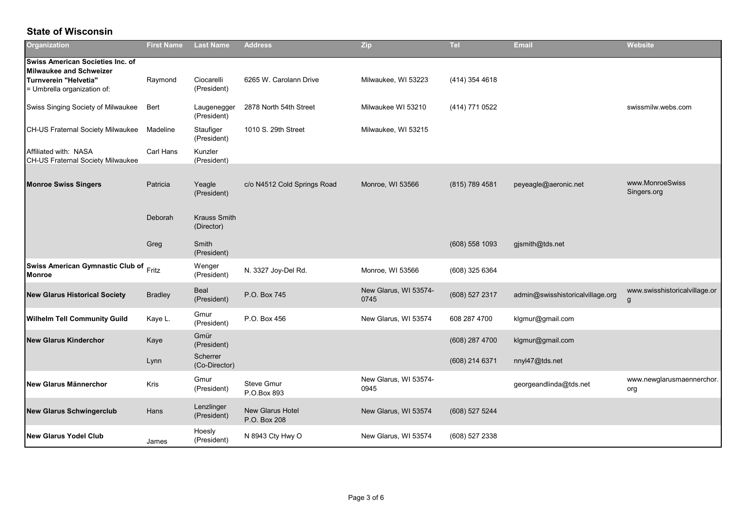## **State of Wisconsin**

| Organization                                                                                                                      | <b>First Name</b> | <b>Last Name</b>                  | <b>Address</b>                          | Zip                           | <b>Tel</b>     | <b>Email</b>                     | Website                            |
|-----------------------------------------------------------------------------------------------------------------------------------|-------------------|-----------------------------------|-----------------------------------------|-------------------------------|----------------|----------------------------------|------------------------------------|
| <b>Swiss American Societies Inc. of</b><br><b>Milwaukee and Schweizer</b><br>Turnverein "Helvetia"<br>= Umbrella organization of: | Raymond           | Ciocarelli<br>(President)         | 6265 W. Carolann Drive                  | Milwaukee, WI 53223           | (414) 354 4618 |                                  |                                    |
| Swiss Singing Society of Milwaukee                                                                                                | Bert              | Laugenegger<br>(President)        | 2878 North 54th Street                  | Milwaukee WI 53210            | (414) 771 0522 |                                  | swissmilw.webs.com                 |
| CH-US Fraternal Society Milwaukee                                                                                                 | Madeline          | Staufiger<br>(President)          | 1010 S. 29th Street                     | Milwaukee, WI 53215           |                |                                  |                                    |
| Affiliated with: NASA<br><b>CH-US Fraternal Society Milwaukee</b>                                                                 | Carl Hans         | Kunzler<br>(President)            |                                         |                               |                |                                  |                                    |
| <b>Monroe Swiss Singers</b>                                                                                                       | Patricia          | Yeagle<br>(President)             | c/o N4512 Cold Springs Road             | Monroe, WI 53566              | (815) 789 4581 | peyeagle@aeronic.net             | www.MonroeSwiss<br>Singers.org     |
|                                                                                                                                   | Deborah           | <b>Krauss Smith</b><br>(Director) |                                         |                               |                |                                  |                                    |
|                                                                                                                                   | Greg              | Smith<br>(President)              |                                         |                               | (608) 558 1093 | gjsmith@tds.net                  |                                    |
| <b>Swiss American Gymnastic Club of</b><br><b>Monroe</b>                                                                          | Fritz             | Wenger<br>(President)             | N. 3327 Joy-Del Rd.                     | Monroe, WI 53566              | (608) 325 6364 |                                  |                                    |
| <b>New Glarus Historical Society</b>                                                                                              | <b>Bradley</b>    | Beal<br>(President)               | P.O. Box 745                            | New Glarus, WI 53574-<br>0745 | (608) 527 2317 | admin@swisshistoricalvillage.org | www.swisshistoricalvillage.or<br>g |
| <b>Wilhelm Tell Community Guild</b>                                                                                               | Kaye L.           | Gmur<br>(President)               | P.O. Box 456                            | New Glarus, WI 53574          | 608 287 4700   | klgmur@gmail.com                 |                                    |
| <b>New Glarus Kinderchor</b>                                                                                                      | Kaye              | Gmür<br>(President)               |                                         |                               | (608) 287 4700 | klgmur@gmail.com                 |                                    |
|                                                                                                                                   | Lynn              | Scherrer<br>(Co-Director)         |                                         |                               | (608) 214 6371 | nnyl47@tds.net                   |                                    |
| New Glarus Männerchor                                                                                                             | Kris              | Gmur<br>(President)               | <b>Steve Gmur</b><br>P.O.Box 893        | New Glarus, WI 53574-<br>0945 |                | georgeandlinda@tds.net           | www.newglarusmaennerchor.<br>org   |
| <b>New Glarus Schwingerclub</b>                                                                                                   | Hans              | Lenzlinger<br>(President)         | <b>New Glarus Hotel</b><br>P.O. Box 208 | New Glarus, WI 53574          | (608) 527 5244 |                                  |                                    |
| <b>New Glarus Yodel Club</b>                                                                                                      | James             | Hoesly<br>(President)             | N 8943 Cty Hwy O                        | New Glarus, WI 53574          | (608) 527 2338 |                                  |                                    |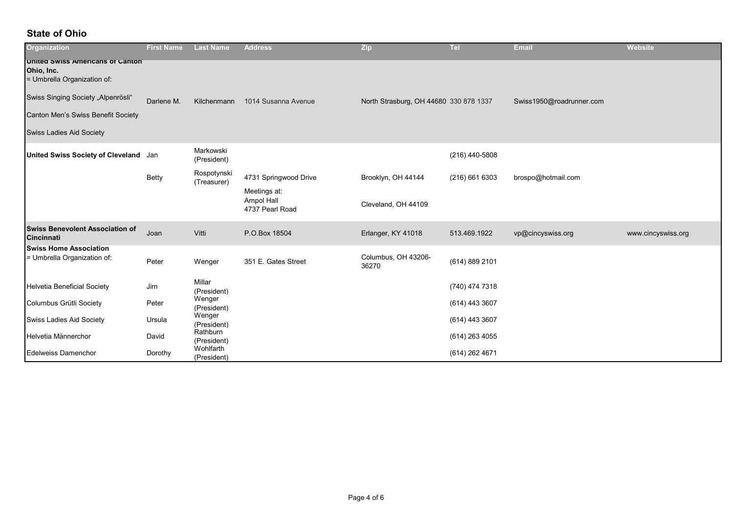## **State of Ohio**

| <b>Organization</b>                                                                                                                                                                          | <b>First Name</b> | <b>Last Name</b>           | <b>Address</b>                                | <b>Zip</b>                             | <b>Tel</b>       | <b>Email</b>             | <b>Website</b>     |
|----------------------------------------------------------------------------------------------------------------------------------------------------------------------------------------------|-------------------|----------------------------|-----------------------------------------------|----------------------------------------|------------------|--------------------------|--------------------|
| United Swiss Americans of Canton<br>Ohio, Inc.<br>= Umbrella Organization of:<br>Swiss Singing Society "Alpenrösli"<br>Canton Men's Swiss Benefit Society<br><b>Swiss Ladies Aid Society</b> | Darlene M.        | Kilchenmann                | 1014 Susanna Avenue                           | North Strasburg, OH 44680 330 878 1337 |                  | Swiss1950@roadrunner.com |                    |
| United Swiss Society of Cleveland Jan                                                                                                                                                        |                   | Markowski<br>(President)   |                                               |                                        | (216) 440-5808   |                          |                    |
|                                                                                                                                                                                              | <b>Betty</b>      | Rospotynski<br>(Treasurer) | 4731 Springwood Drive                         | Brooklyn, OH 44144                     | $(216)$ 661 6303 | brospo@hotmail.com       |                    |
|                                                                                                                                                                                              |                   |                            | Meetings at:<br>Ampol Hall<br>4737 Pearl Road | Cleveland, OH 44109                    |                  |                          |                    |
| <b>Swiss Benevolent Association of</b><br><b>Cincinnati</b>                                                                                                                                  | Joan              | Vitti                      | P.O.Box 18504                                 | Erlanger, KY 41018                     | 513.469.1922     | vp@cincyswiss.org        | www.cincyswiss.org |
| <b>Swiss Home Association</b><br>= Umbrella Organization of:                                                                                                                                 | Peter             | Wenger                     | 351 E. Gates Street                           | Columbus, OH 43206-<br>36270           | (614) 889 2101   |                          |                    |
| <b>Helvetia Beneficial Society</b>                                                                                                                                                           | Jim               | Millar<br>(President)      |                                               |                                        | (740) 474 7318   |                          |                    |
| Columbus Grütli Society                                                                                                                                                                      | Peter             | Wenger<br>(President)      |                                               |                                        | (614) 443 3607   |                          |                    |
| Swiss Ladies Aid Society                                                                                                                                                                     | Ursula            | Wenger<br>(President)      |                                               |                                        | (614) 443 3607   |                          |                    |
| Helvetia Männerchor                                                                                                                                                                          | David             | Rathburn<br>(President)    |                                               |                                        | (614) 263 4055   |                          |                    |
| <b>Edelweiss Damenchor</b>                                                                                                                                                                   | Dorothy           | Wohlfarth<br>(President)   |                                               |                                        | (614) 262 4671   |                          |                    |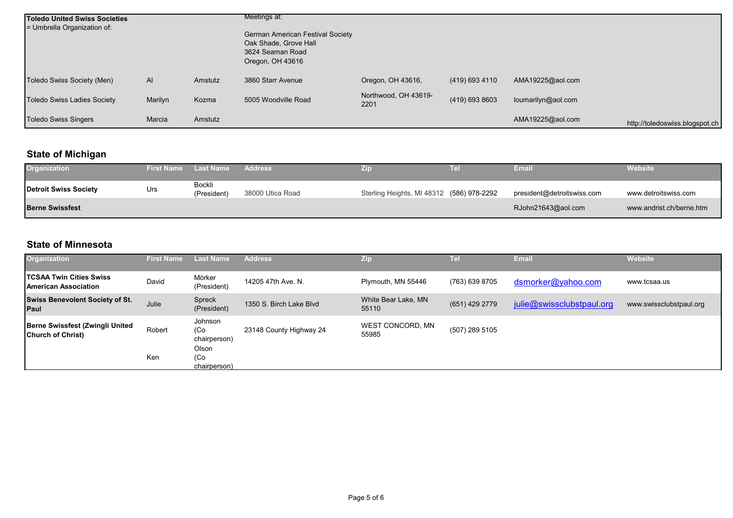| <b>Toledo United Swiss Societies</b><br>= Umbrella Organization of: |         |         | Meetings at:<br><b>German American Festival Society</b><br>Oak Shade, Grove Hall<br>3624 Seaman Road<br>Oregon, OH 43616 |                              |                |                    |                                |
|---------------------------------------------------------------------|---------|---------|--------------------------------------------------------------------------------------------------------------------------|------------------------------|----------------|--------------------|--------------------------------|
| Toledo Swiss Society (Men)                                          | AI      | Amstutz | 3860 Starr Avenue                                                                                                        | Oregon, OH 43616,            | (419) 693 4110 | AMA19225@aol.com   |                                |
| <b>Toledo Swiss Ladies Society</b>                                  | Marilyn | Kozma   | 5005 Woodville Road                                                                                                      | Northwood, OH 43619-<br>2201 | (419) 693 8603 | loumarilyn@aol.com |                                |
| <b>Toledo Swiss Singers</b>                                         | Marcia  | Amstutz |                                                                                                                          |                              |                | AMA19225@aol.com   | http://toledoswiss.blogspot.ch |

# **State of Michigan**

| Organization           | <b>First Name</b> | Last Name             | <b>Address</b>   |                                           | Tel | Email                      | <b>Website</b>           |
|------------------------|-------------------|-----------------------|------------------|-------------------------------------------|-----|----------------------------|--------------------------|
| Detroit Swiss Society  | Urs               | Bockli<br>(President) | 38000 Utica Road | Sterling Heights, MI 48312 (586) 978-2292 |     | president@detroitswiss.com | www.detroitswiss.com     |
| <b>Berne Swissfest</b> |                   |                       |                  |                                           |     | RJohn21643@aol.com         | www.andrist.ch/berne.htm |

## **State of Minnesota**

| <b>Organization</b>                                           | <b>First Name</b> | <b>Last Name</b>                                      | <b>Address</b>          | Zip                          | Tell           | <b>Email</b>              | <b>Website</b>          |
|---------------------------------------------------------------|-------------------|-------------------------------------------------------|-------------------------|------------------------------|----------------|---------------------------|-------------------------|
| <b>TCSAA Twin Cities Swiss</b><br><b>American Association</b> | David             | Mörker<br>(President)                                 | 14205 47th Ave. N.      | Plymouth, MN 55446           | (763) 639 8705 | dsmorker@yahoo.com        | www.tcsaa.us            |
| <b>Swiss Benevolent Society of St.</b><br><b>Paul</b>         | Julie             | Spreck<br>(President)                                 | 1350 S. Birch Lake Blyd | White Bear Lake, MN<br>55110 | (651) 429 2779 | julie@swissclubstpaul.org | www.swissclubstpaul.org |
| Berne Swissfest (Zwingli United<br><b>Church of Christ)</b>   | Robert            | Johnson<br>(C <sub>O</sub> )<br>chairperson)<br>Olson | 23148 County Highway 24 | WEST CONCORD, MN<br>55985    | (507) 289 5105 |                           |                         |
|                                                               | Ken               | (C <sub>O</sub> )<br>chairperson)                     |                         |                              |                |                           |                         |